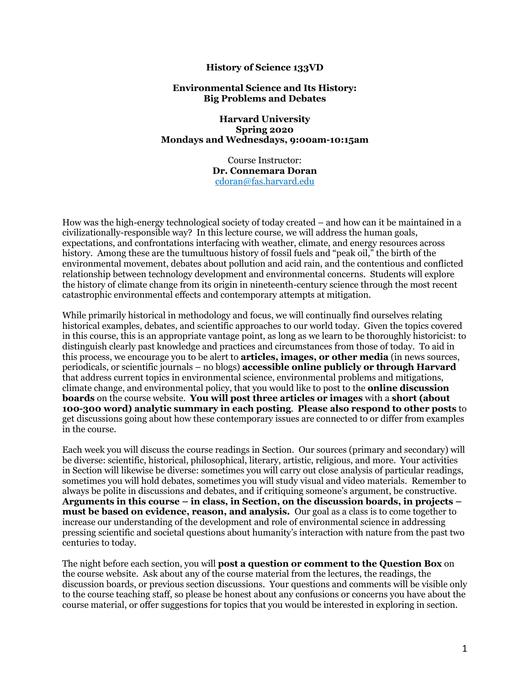### **History of Science 133VD**

#### **Environmental Science and Its History: Big Problems and Debates**

**Harvard University Spring 2020 Mondays and Wednesdays, 9:00am-10:15am** 

> Course Instructor: **Dr. Connemara Doran**  cdoran@fas.harvard.edu

How was the high-energy technological society of today created – and how can it be maintained in a civilizationally-responsible way? In this lecture course, we will address the human goals, expectations, and confrontations interfacing with weather, climate, and energy resources across history. Among these are the tumultuous history of fossil fuels and "peak oil," the birth of the environmental movement, debates about pollution and acid rain, and the contentious and conflicted relationship between technology development and environmental concerns. Students will explore the history of climate change from its origin in nineteenth-century science through the most recent catastrophic environmental effects and contemporary attempts at mitigation.

While primarily historical in methodology and focus, we will continually find ourselves relating historical examples, debates, and scientific approaches to our world today. Given the topics covered in this course, this is an appropriate vantage point, as long as we learn to be thoroughly historicist: to distinguish clearly past knowledge and practices and circumstances from those of today. To aid in this process, we encourage you to be alert to **articles, images, or other media** (in news sources, periodicals, or scientific journals – no blogs) **accessible online publicly or through Harvard** that address current topics in environmental science, environmental problems and mitigations, climate change, and environmental policy, that you would like to post to the **online discussion boards** on the course website. **You will post three articles or images** with a **short (about 100-300 word) analytic summary in each posting**. **Please also respond to other posts** to get discussions going about how these contemporary issues are connected to or differ from examples in the course.

Each week you will discuss the course readings in Section. Our sources (primary and secondary) will be diverse: scientific, historical, philosophical, literary, artistic, religious, and more. Your activities in Section will likewise be diverse: sometimes you will carry out close analysis of particular readings, sometimes you will hold debates, sometimes you will study visual and video materials. Remember to always be polite in discussions and debates, and if critiquing someone's argument, be constructive. **Arguments in this course – in class, in Section, on the discussion boards, in projects – must be based on evidence, reason, and analysis.** Our goal as a class is to come together to increase our understanding of the development and role of environmental science in addressing pressing scientific and societal questions about humanity's interaction with nature from the past two centuries to today.

The night before each section, you will **post a question or comment to the Question Box** on the course website. Ask about any of the course material from the lectures, the readings, the discussion boards, or previous section discussions. Your questions and comments will be visible only to the course teaching staff, so please be honest about any confusions or concerns you have about the course material, or offer suggestions for topics that you would be interested in exploring in section.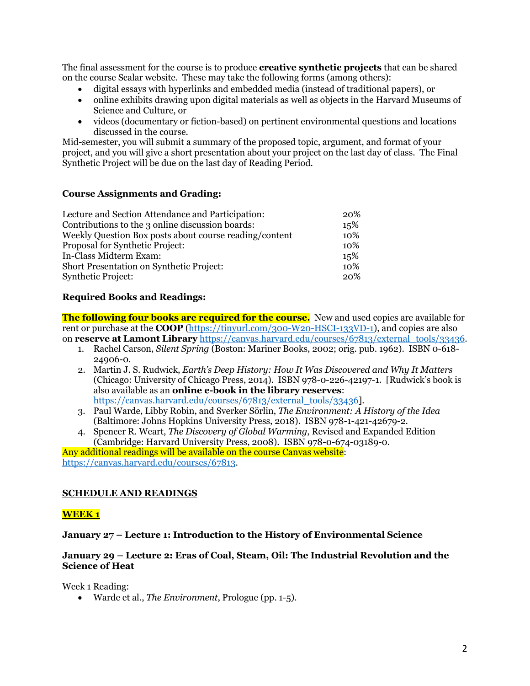The final assessment for the course is to produce **creative synthetic projects** that can be shared on the course Scalar website. These may take the following forms (among others):

- digital essays with hyperlinks and embedded media (instead of traditional papers), or
- online exhibits drawing upon digital materials as well as objects in the Harvard Museums of Science and Culture, or
- videos (documentary or fiction-based) on pertinent environmental questions and locations discussed in the course.

Mid-semester, you will submit a summary of the proposed topic, argument, and format of your project, and you will give a short presentation about your project on the last day of class. The Final Synthetic Project will be due on the last day of Reading Period.

## **Course Assignments and Grading:**

| Lecture and Section Attendance and Participation:      | 20% |
|--------------------------------------------------------|-----|
| Contributions to the 3 online discussion boards:       | 15% |
| Weekly Question Box posts about course reading/content | 10% |
| Proposal for Synthetic Project:                        | 10% |
| In-Class Midterm Exam:                                 | 15% |
| Short Presentation on Synthetic Project:               | 10% |
| <b>Synthetic Project:</b>                              | 20% |

## **Required Books and Readings:**

**The following four books are required for the course.** New and used copies are available for rent or purchase at the **COOP** (https://tinyurl.com/300-W20-HSCI-133VD-1), and copies are also on **reserve at Lamont Library** https://canvas.harvard.edu/courses/67813/external\_tools/33436.

- 1. Rachel Carson, *Silent Spring* (Boston: Mariner Books, 2002; orig. pub. 1962). ISBN 0-618- 24906-0.
- 2. Martin J. S. Rudwick, *Earth's Deep History: How It Was Discovered and Why It Matters*  (Chicago: University of Chicago Press, 2014). ISBN 978-0-226-42197-1. [Rudwick's book is also available as an **online e-book in the library reserves**: https://canvas.harvard.edu/courses/67813/external\_tools/33436].
- 3. Paul Warde, Libby Robin, and Sverker Sörlin, *The Environment: A History of the Idea*  (Baltimore: Johns Hopkins University Press, 2018). ISBN 978-1-421-42679-2.
- 4. Spencer R. Weart, *The Discovery of Global Warming*, Revised and Expanded Edition (Cambridge: Harvard University Press, 2008). ISBN 978-0-674-03189-0.

Any additional readings will be available on the course Canvas website: https://canvas.harvard.edu/courses/67813.

# **SCHEDULE AND READINGS**

# **WEEK 1**

## **January 27 – Lecture 1: Introduction to the History of Environmental Science**

## **January 29 – Lecture 2: Eras of Coal, Steam, Oil: The Industrial Revolution and the Science of Heat**

Week 1 Reading:

• Warde et al., *The Environment*, Prologue (pp. 1-5).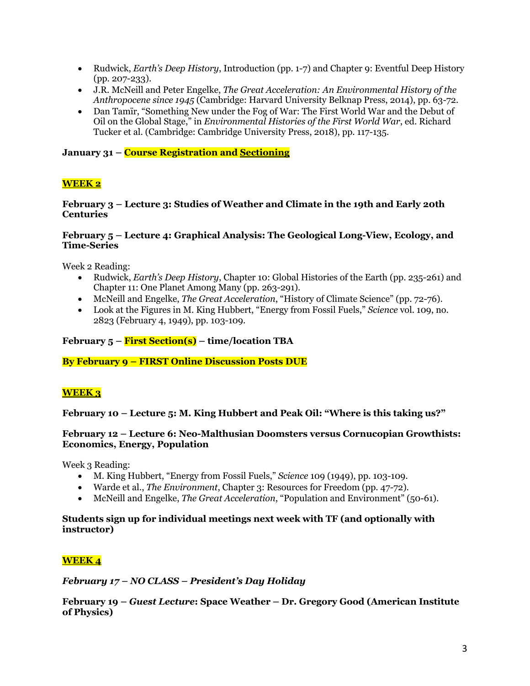- Rudwick, *Earth's Deep History*, Introduction (pp. 1-7) and Chapter 9: Eventful Deep History (pp. 207-233).
- J.R. McNeill and Peter Engelke, *The Great Acceleration: An Environmental History of the Anthropocene since 1945* (Cambridge: Harvard University Belknap Press, 2014), pp. 63-72.
- Dan Tamir, "Something New under the Fog of War: The First World War and the Debut of Oil on the Global Stage," in *Environmental Histories of the First World War*, ed. Richard Tucker et al. (Cambridge: Cambridge University Press, 2018), pp. 117-135.

**January 31 – Course Registration and Sectioning**

# **WEEK 2**

### **February 3 – Lecture 3: Studies of Weather and Climate in the 19th and Early 20th Centuries**

### **February 5 – Lecture 4: Graphical Analysis: The Geological Long-View, Ecology, and Time-Series**

Week 2 Reading:

- Rudwick, *Earth's Deep History*, Chapter 10: Global Histories of the Earth (pp. 235-261) and Chapter 11: One Planet Among Many (pp. 263-291).
- McNeill and Engelke, *The Great Acceleration*, "History of Climate Science" (pp. 72-76).
- Look at the Figures in M. King Hubbert, "Energy from Fossil Fuels," *Science* vol. 109, no. 2823 (February 4, 1949), pp. 103-109.

## **February 5 – First Section(s) – time/location TBA**

**By February 9 – FIRST Online Discussion Posts DUE**

# **WEEK 3**

**February 10 – Lecture 5: M. King Hubbert and Peak Oil: "Where is this taking us?"**

#### **February 12 – Lecture 6: Neo-Malthusian Doomsters versus Cornucopian Growthists: Economics, Energy, Population**

Week 3 Reading:

- M. King Hubbert, "Energy from Fossil Fuels," *Science* 109 (1949), pp. 103-109.
- Warde et al., *The Environment*, Chapter 3: Resources for Freedom (pp. 47-72).
- McNeill and Engelke, *The Great Acceleration*, "Population and Environment" (50-61).

## **Students sign up for individual meetings next week with TF (and optionally with instructor)**

# **WEEK 4**

#### *February 17 – NO CLASS – President's Day Holiday*

**February 19 –** *Guest Lecture***: Space Weather – Dr. Gregory Good (American Institute of Physics)**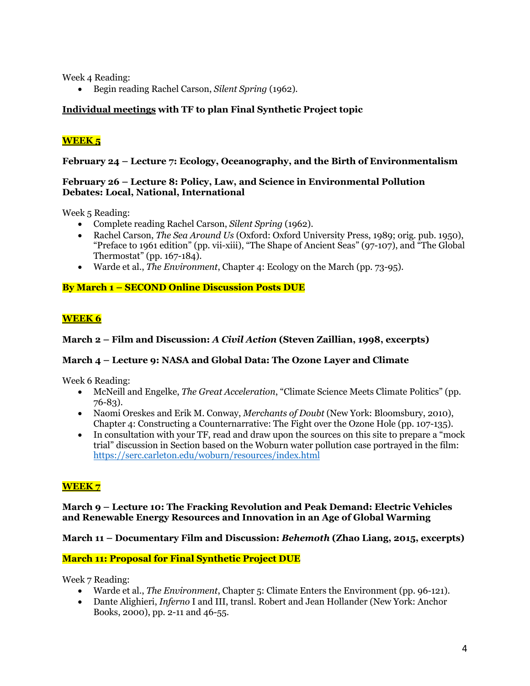Week 4 Reading:

• Begin reading Rachel Carson, *Silent Spring* (1962).

# **Individual meetings with TF to plan Final Synthetic Project topic**

# **WEEK 5**

## **February 24 – Lecture 7: Ecology, Oceanography, and the Birth of Environmentalism**

## **February 26 – Lecture 8: Policy, Law, and Science in Environmental Pollution Debates: Local, National, International**

Week 5 Reading:

- Complete reading Rachel Carson, *Silent Spring* (1962).
- Rachel Carson, *The Sea Around Us* (Oxford: Oxford University Press, 1989; orig. pub. 1950), "Preface to 1961 edition" (pp. vii-xiii), "The Shape of Ancient Seas" (97-107), and "The Global Thermostat" (pp. 167-184).
- Warde et al., *The Environment*, Chapter 4: Ecology on the March (pp. 73-95).

# **By March 1 – SECOND Online Discussion Posts DUE**

# **WEEK 6**

## **March 2 – Film and Discussion:** *A Civil Action* **(Steven Zaillian, 1998, excerpts)**

# **March 4 – Lecture 9: NASA and Global Data: The Ozone Layer and Climate**

Week 6 Reading:

- McNeill and Engelke, *The Great Acceleration*, "Climate Science Meets Climate Politics" (pp. 76-83).
- Naomi Oreskes and Erik M. Conway, *Merchants of Doubt* (New York: Bloomsbury, 2010), Chapter 4: Constructing a Counternarrative: The Fight over the Ozone Hole (pp. 107-135).
- In consultation with your TF, read and draw upon the sources on this site to prepare a "mock trial" discussion in Section based on the Woburn water pollution case portrayed in the film: https://serc.carleton.edu/woburn/resources/index.html

# **WEEK 7**

**March 9 – Lecture 10: The Fracking Revolution and Peak Demand: Electric Vehicles and Renewable Energy Resources and Innovation in an Age of Global Warming** 

## **March 11 – Documentary Film and Discussion:** *Behemoth* **(Zhao Liang, 2015, excerpts)**

## **March 11: Proposal for Final Synthetic Project DUE**

Week 7 Reading:

- Warde et al., *The Environment*, Chapter 5: Climate Enters the Environment (pp. 96-121).
- Dante Alighieri, *Inferno* I and III, transl. Robert and Jean Hollander (New York: Anchor Books, 2000), pp. 2-11 and 46-55.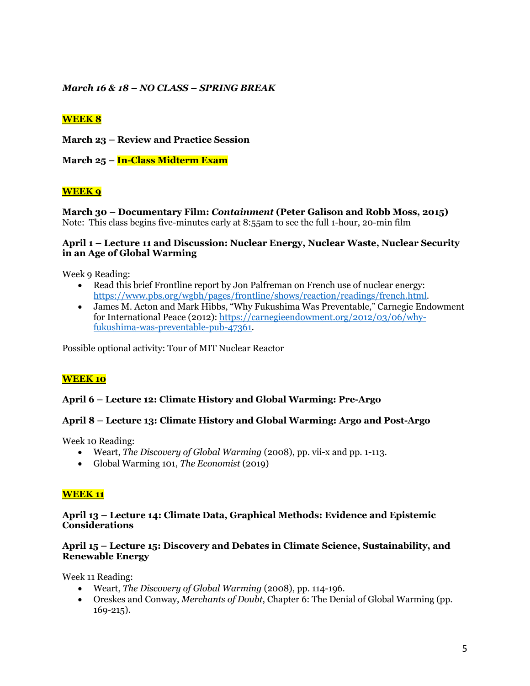*March 16 & 18 – NO CLASS – SPRING BREAK* 

# **WEEK 8**

**March 23 – Review and Practice Session** 

**March 25 – In-Class Midterm Exam**

# **WEEK 9**

**March 30 – Documentary Film:** *Containment* **(Peter Galison and Robb Moss, 2015)**  Note: This class begins five-minutes early at 8:55am to see the full 1-hour, 20-min film

#### **April 1 – Lecture 11 and Discussion: Nuclear Energy, Nuclear Waste, Nuclear Security in an Age of Global Warming**

Week 9 Reading:

- Read this brief Frontline report by Jon Palfreman on French use of nuclear energy: https://www.pbs.org/wgbh/pages/frontline/shows/reaction/readings/french.html.
- James M. Acton and Mark Hibbs, "Why Fukushima Was Preventable," Carnegie Endowment for International Peace (2012): https://carnegieendowment.org/2012/03/06/whyfukushima-was-preventable-pub-47361.

Possible optional activity: Tour of MIT Nuclear Reactor

# **WEEK 10**

## **April 6 – Lecture 12: Climate History and Global Warming: Pre-Argo**

## **April 8 – Lecture 13: Climate History and Global Warming: Argo and Post-Argo**

Week 10 Reading:

- Weart, *The Discovery of Global Warming* (2008), pp. vii-x and pp. 1-113.
- Global Warming 101, *The Economist* (2019)

## **WEEK 11**

#### **April 13 – Lecture 14: Climate Data, Graphical Methods: Evidence and Epistemic Considerations**

## **April 15 – Lecture 15: Discovery and Debates in Climate Science, Sustainability, and Renewable Energy**

Week 11 Reading:

- Weart, *The Discovery of Global Warming* (2008), pp. 114-196.
- Oreskes and Conway, *Merchants of Doubt*, Chapter 6: The Denial of Global Warming (pp. 169-215).